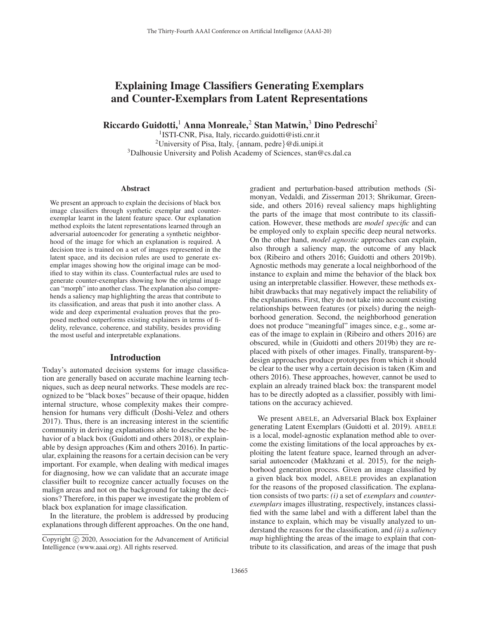# Explaining Image Classifiers Generating Exemplars and Counter-Exemplars from Latent Representations

Riccardo Guidotti,<sup>1</sup> Anna Monreale,<sup>2</sup> Stan Matwin,<sup>3</sup> Dino Pedreschi<sup>2</sup>

1ISTI-CNR, Pisa, Italy, riccardo.guidotti@isti.cnr.it <sup>2</sup>University of Pisa, Italy,  $\{\text{annam}, \text{pedre}\}\mathcal{Q}$ di.unipi.it <sup>3</sup>Dalhousie University and Polish Academy of Sciences, stan@cs.dal.ca

#### Abstract

We present an approach to explain the decisions of black box image classifiers through synthetic exemplar and counterexemplar learnt in the latent feature space. Our explanation method exploits the latent representations learned through an adversarial autoencoder for generating a synthetic neighborhood of the image for which an explanation is required. A decision tree is trained on a set of images represented in the latent space, and its decision rules are used to generate exemplar images showing how the original image can be modified to stay within its class. Counterfactual rules are used to generate counter-exemplars showing how the original image can "morph" into another class. The explanation also comprehends a saliency map highlighting the areas that contribute to its classification, and areas that push it into another class. A wide and deep experimental evaluation proves that the proposed method outperforms existing explainers in terms of fidelity, relevance, coherence, and stability, besides providing the most useful and interpretable explanations.

# Introduction

Today's automated decision systems for image classification are generally based on accurate machine learning techniques, such as deep neural networks. These models are recognized to be "black boxes" because of their opaque, hidden internal structure, whose complexity makes their comprehension for humans very difficult (Doshi-Velez and others 2017). Thus, there is an increasing interest in the scientific community in deriving explanations able to describe the behavior of a black box (Guidotti and others 2018), or explainable by design approaches (Kim and others 2016). In particular, explaining the reasons for a certain decision can be very important. For example, when dealing with medical images for diagnosing, how we can validate that an accurate image classifier built to recognize cancer actually focuses on the malign areas and not on the background for taking the decisions? Therefore, in this paper we investigate the problem of black box explanation for image classification.

In the literature, the problem is addressed by producing explanations through different approaches. On the one hand,

gradient and perturbation-based attribution methods (Simonyan, Vedaldi, and Zisserman 2013; Shrikumar, Greenside, and others 2016) reveal saliency maps highlighting the parts of the image that most contribute to its classification. However, these methods are *model specific* and can be employed only to explain specific deep neural networks. On the other hand, *model agnostic* approaches can explain, also through a saliency map, the outcome of any black box (Ribeiro and others 2016; Guidotti and others 2019b). Agnostic methods may generate a local neighborhood of the instance to explain and mime the behavior of the black box using an interpretable classifier. However, these methods exhibit drawbacks that may negatively impact the reliability of the explanations. First, they do not take into account existing relationships between features (or pixels) during the neighborhood generation. Second, the neighborhood generation does not produce "meaningful" images since, e.g., some areas of the image to explain in (Ribeiro and others 2016) are obscured, while in (Guidotti and others 2019b) they are replaced with pixels of other images. Finally, transparent-bydesign approaches produce prototypes from which it should be clear to the user why a certain decision is taken (Kim and others 2016). These approaches, however, cannot be used to explain an already trained black box: the transparent model has to be directly adopted as a classifier, possibly with limitations on the accuracy achieved.

We present ABELE, an Adversarial Black box Explainer generating Latent Exemplars (Guidotti et al. 2019). ABELE is a local, model-agnostic explanation method able to overcome the existing limitations of the local approaches by exploiting the latent feature space, learned through an adversarial autoencoder (Makhzani et al. 2015), for the neighborhood generation process. Given an image classified by a given black box model, ABELE provides an explanation for the reasons of the proposed classification. The explanation consists of two parts: *(i)* a set of *exemplars* and *counterexemplars* images illustrating, respectively, instances classified with the same label and with a different label than the instance to explain, which may be visually analyzed to understand the reasons for the classification, and *(ii)* a *saliency map* highlighting the areas of the image to explain that contribute to its classification, and areas of the image that push

Copyright  $\odot$  2020, Association for the Advancement of Artificial Intelligence (www.aaai.org). All rights reserved.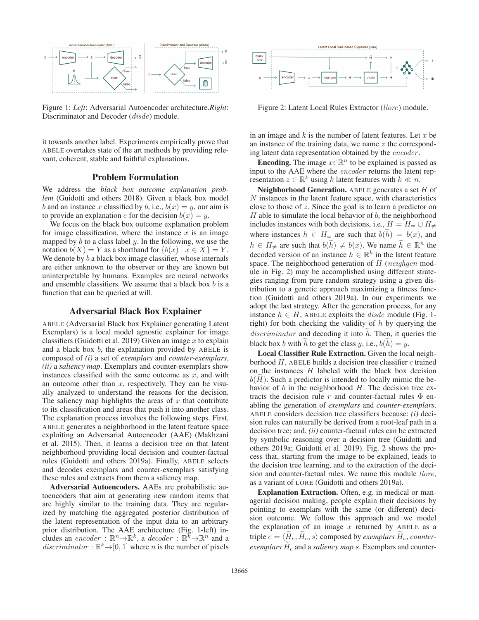

Figure 1: *Left*: Adversarial Autoencoder architecture.*Right*: Discriminator and Decoder (*disde*) module.

it towards another label. Experiments empirically prove that ABELE overtakes state of the art methods by providing relevant, coherent, stable and faithful explanations.

#### Problem Formulation

We address the *black box outcome explanation problem* (Guidotti and others 2018). Given a black box model b and an instance x classified by b, i.e.,  $b(x) = y$ , our aim is to provide an explanation e for the decision  $b(x) = y$ .

We focus on the black box outcome explanation problem for image classification, where the instance  $x$  is an image mapped by  $b$  to a class label  $y$ . In the following, we use the notation  $b(X) = Y$  as a shorthand for  $\{b(x) | x \in X\} = Y$ . We denote by  $b$  a black box image classifier, whose internals are either unknown to the observer or they are known but uninterpretable by humans. Examples are neural networks and ensemble classifiers. We assume that a black box  $b$  is a function that can be queried at will.

## Adversarial Black Box Explainer

ABELE (Adversarial Black box Explainer generating Latent Exemplars) is a local model agnostic explainer for image classifiers (Guidotti et al. 2019) Given an image  $x$  to explain and a black box  $b$ , the explanation provided by ABELE is composed of *(i)* a set of *exemplars* and *counter-exemplars*, *(ii)* a *saliency map*. Exemplars and counter-exemplars show instances classified with the same outcome as  $x$ , and with an outcome other than  $x$ , respectively. They can be visually analyzed to understand the reasons for the decision. The saliency map highlights the areas of  $x$  that contribute to its classification and areas that push it into another class. The explanation process involves the following steps. First, ABELE generates a neighborhood in the latent feature space exploiting an Adversarial Autoencoder (AAE) (Makhzani et al. 2015). Then, it learns a decision tree on that latent neighborhood providing local decision and counter-factual rules (Guidotti and others 2019a). Finally, ABELE selects and decodes exemplars and counter-exemplars satisfying these rules and extracts from them a saliency map.

Adversarial Autoencoders. AAEs are probabilistic autoencoders that aim at generating new random items that are highly similar to the training data. They are regularized by matching the aggregated posterior distribution of the latent representation of the input data to an arbitrary prior distribution. The AAE architecture (Fig. 1-left) includes an *encoder* :  $\mathbb{R}^n \rightarrow \mathbb{R}^k$ , a *decoder* :  $\mathbb{R}^k \rightarrow \mathbb{R}^n$  and a *discriminator* :  $\mathbb{R}^k \rightarrow [0, 1]$  where *n* is the number of pixels



Figure 2: Latent Local Rules Extractor (*llore*) module.

in an image and  $k$  is the number of latent features. Let  $x$  be an instance of the training data, we name z the corresponding latent data representation obtained by the *encoder* .

**Encoding.** The image  $x \in \mathbb{R}^n$  to be explained is passed as input to the AAE where the *encoder* returns the latent representation  $z \in \mathbb{R}^k$  using k latent features with  $k \ll n$ .

Neighborhood Generation. ABELE generates a set H of  $N$  instances in the latent feature space, with characteristics close to those of z. Since the goal is to learn a predictor on  $H$  able to simulate the local behavior of  $b$ , the neighborhood includes instances with both decisions, i.e.,  $H = H_{\pm} \cup H_{\neq}$ **Neighborhood Generation.** ABELE generates a set *H* of *N* instances in the latent feature space, with characteristics close to those of *z*. Since the goal is to learn a predictor on *H* able to simulate the local behav  $h \in H_{\neq}$  are such that  $b(\tilde{h}) \neq b(x)$ . We name  $\tilde{h} \in \mathbb{R}^n$  the inces in the latent feature space, with change of  $z$ . Since the goal is to learn a p to simulate the local behavior of  $b$ , the neise is instances with both decisions, i.e.,  $H =$  instances  $h \in H =$  are such that  $b(\tilde{h}) =$ decoded version of an instance  $h \in \mathbb{R}^k$  in the latent feature space. The neighborhood generation of H (*neighgen* module in Fig. 2) may be accomplished using different strategies ranging from pure random strategy using a given distribution to a genetic approach maximizing a fitness function (Guidotti and others 2019a). In our experiments we adopt the last strategy. After the generation process, for any instance  $h \in H$ , ABELE exploits the *disde* module (Fig. 1right) for both checking the validity of  $h$  by querying the tribution to a genetic approach maxin<br>tion (Guidotti and others 2019a). In<br>adopt the last strategy. After the gener<br>instance  $h \in H$ , ABELE exploits the  $\alpha$ <br>right) for both checking the validity<br>*discriminator* and decodi  $h$ . Then, it queries the tion (Guidotti and others 2019a). In our experim<br>adopt the last strategy. After the generation process<br>instance  $h \in H$ , ABELE exploits the *disde* module<br>right) for both checking the validity of h by quer<br>*discriminator*

Local Classifier Rule Extraction. Given the local neighborhood  $H$ , ABELE builds a decision tree classifier  $c$  trained on the instances  $H$  labeled with the black box decision disc<br>blac<br> $\mathbf{L}$ <br>bort<br>on 1<br> $b(\widetilde{H})$  $b(H)$ . Such a predictor is intended to locally mimic the behavior of  $b$  in the neighborhood  $H$ . The decision tree extracts the decision rule r and counter-factual rules  $\Phi$  enabling the generation of *exemplars* and *counter-exemplars*. ABELE considers decision tree classifiers because: *(i)* decision rules can naturally be derived from a root-leaf path in a decision tree; and, *(ii)* counter-factual rules can be extracted by symbolic reasoning over a decision tree (Guidotti and others 2019a; Guidotti et al. 2019). Fig. 2 shows the process that, starting from the image to be explained, leads to the decision tree learning, and to the extraction of the decision and counter-factual rules. We name this module *llore*, as a variant of LORE (Guidotti and others 2019a).

Explanation Extraction. Often, e.g. in medical or managerial decision making, people explain their decisions by pointing to exemplars with the same (or different) decision outcome. We follow this approach and we model the explanation of an image  $x$  returned by ABELE as a **Explanation Extraction.** Often, e.g. in medic agerial decision making, people explain their depointing to exemplars with the same (or differencision outcome. We follow this approach and the explanation of an image x retu triple  $e = \langle \tilde{H}_e, \tilde{H}_c, s \rangle$  composed by *exemplars*  $\tilde{H}_e$ , *counter*agerial decision making, people explain their decisions by<br>pointing to exemplars with the same (or different) deci-<br>sion outcome. We follow this approach and we model<br>the explanation of an image x returned by ABELE as a<br>t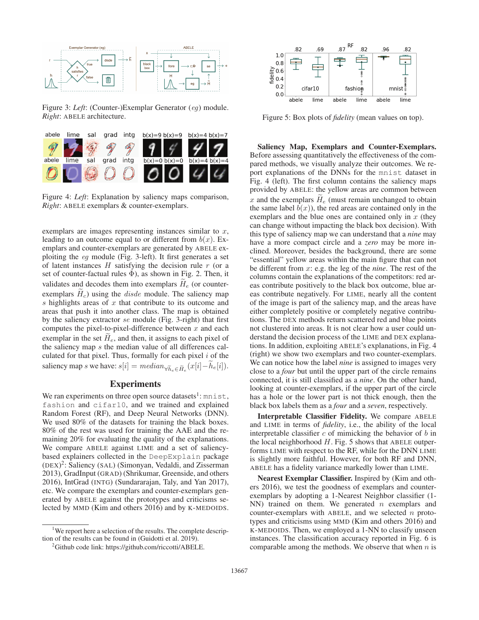

Figure 3: *Left*: (Counter-)Exemplar Generator (*eg*) module. *Right*: ABELE architecture.



Figure 4: *Left*: Explanation by saliency maps comparison, *Right*: ABELE exemplars & counter-exemplars.

exemplars are images representing instances similar to  $x$ , leading to an outcome equal to or different from  $b(x)$ . Exemplars and counter-exemplars are generated by ABELE exploiting the *eg* module (Fig. 3-left). It first generates a set of latent instances  $H$  satisfying the decision rule  $r$  (or a set of counter-factual rules  $\Phi$ ), as shown in Fig. 2. Then, it leading to an outcome equal to or different from  $b(x)$ . Ex-<br>emplars and counter-exemplars are generated by ABELE ex-<br>ploiting the eg module (Fig. 3-left). It first generates a set<br>of latent instances H satisfying the deci emplars and  $\alpha$ <br>ploiting the  $\alpha$ <br>of latent inst<br>set of counte<br>validates and<br>exemplars  $\widetilde{H}$ exemplars  $H_c$ ) using the *disde* module. The saliency map s highlights areas of  $x$  that contribute to its outcome and areas that push it into another class. The map is obtained by the saliency extractor *se* module (Fig. 3-right) that first computes the pixel-to-pixel-difference between  $x$  and each exemplars  $H_c$ ) using<br>s highlights areas of<br>areas that push it into<br>by the saliency extrace<br>computes the pixel-to<br>exemplar in the set  $\widetilde{H}$ exemplar in the set  $H_e$ , and then, it assigns to each pixel of the saliency map s the median value of all differences calculated for that pixel. Thus, formally for each pixel  $i$  of the by the saliency extractor se module (Fig. 3-right) that first<br>computes the pixel-to-pixel-difference between x and each<br>exemplar in the set  $\tilde{H}_e$ , and then, it assigns to each pixel of<br>the saliency map s the median va

# **Experiments**

We ran experiments on three open source datasets<sup>1</sup>: mnist, fashion and cifar10, and we trained and explained Random Forest (RF), and Deep Neural Networks (DNN). We used 80% of the datasets for training the black boxes. 80% of the rest was used for training the AAE and the remaining 20% for evaluating the quality of the explanations. We compare ABELE against LIME and a set of saliencybased explainers collected in the DeepExplain package (DEX) 2: Saliency (SAL) (Simonyan, Vedaldi, and Zisserman 2013), GradInput (GRAD) (Shrikumar, Greenside, and others 2016), IntGrad (INTG) (Sundararajan, Taly, and Yan 2017), etc. We compare the exemplars and counter-exemplars generated by ABELE against the prototypes and criticisms selected by MMD (Kim and others 2016) and by K-MEDOIDS.

<sup>1</sup>We report here a selection of the results. The complete description of the results can be found in (Guidotti et al. 2019).



Figure 5: Box plots of *fidelity* (mean values on top).

Saliency Map, Exemplars and Counter-Exemplars. Before assessing quantitatively the effectiveness of the compared methods, we visually analyze their outcomes. We report explanations of the DNNs for the mnist dataset in Fig. 4 (left). The first column contains the saliency maps provided by ABELE: the yellow areas are common between Before assessing quanti<br>pared methods, we vist<br>port explanations of th<br>Fig. 4 (left). The first<br>provided by ABELE: th<br>x and the exemplars  $\widetilde{H}$ x and the exemplars  $H_e$  (must remain unchanged to obtain the same label  $b(x)$ , the red areas are contained only in the exemplars and the blue ones are contained only in  $x$  (they can change without impacting the black box decision). With this type of saliency map we can understand that a *nine* may have a more compact circle and a *zero* may be more inclined. Moreover, besides the background, there are some "essential" yellow areas within the main figure that can not be different from x: e.g. the leg of the *nine*. The rest of the columns contain the explanations of the competitors: red areas contribute positively to the black box outcome, blue areas contribute negatively. For LIME, nearly all the content of the image is part of the saliency map, and the areas have either completely positive or completely negative contributions. The DEX methods return scattered red and blue points not clustered into areas. It is not clear how a user could understand the decision process of the LIME and DEX explanations. In addition, exploiting ABELE's explanations, in Fig. 4 (right) we show two exemplars and two counter-exemplars. We can notice how the label *nine* is assigned to images very close to a *four* but until the upper part of the circle remains connected, it is still classified as a *nine*. On the other hand, looking at counter-exemplars, if the upper part of the circle has a hole or the lower part is not thick enough, then the black box labels them as a *four* and a *seven*, respectively.

Interpretable Classifier Fidelity. We compare ABELE and LIME in terms of *fidelity*, i.e., the ability of the local interpretable classifier  $c$  of mimicking the behavior of  $b$  in the local neighborhood  $H$ . Fig. 5 shows that ABELE outperforms LIME with respect to the RF, while for the DNN LIME is slightly more faithful. However, for both RF and DNN, ABELE has a fidelity variance markedly lower than LIME.

Nearest Exemplar Classifier. Inspired by (Kim and others 2016), we test the goodness of exemplars and counterexemplars by adopting a 1-Nearest Neighbor classifier (1- NN) trained on them. We generated  $n$  exemplars and counter-exemplars with ABELE, and we selected  $n$  prototypes and criticisms using MMD (Kim and others 2016) and K-MEDOIDS. Then, we employed a 1-NN to classify unseen instances. The classification accuracy reported in Fig. 6 is comparable among the methods. We observe that when  $n$  is

<sup>&</sup>lt;sup>2</sup>Github code link: https://github.com/riccotti/ABELE.